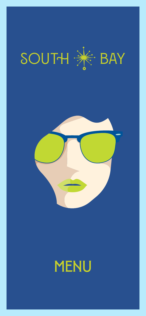



## MENU

All prices in Qatari Riyal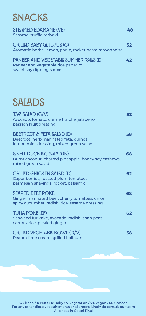

**Steamed edamame (VE) 48** Sesame, truffle teriyaki

**Grilled baby OCTOPUS (G) 52** Aromatic herbs, lemon, garlic, rocket pesto mayonnaise

**Paneer and vegetable summer rolls (D) 42** Paneer and vegetable rice paper roll, sweet soy dipping sauce



**TAC SALAD (G/V) 52** 

| Avocado, tomato, crème fraiche, jalapeno,<br>passion fruit dressing                                                        |    |
|----------------------------------------------------------------------------------------------------------------------------|----|
| <b>BEETROOT &amp; FETA SALAD (D)</b><br>Beetroot, herb marinated feta, quinoa,<br>lemon mint dressing, mixed green salad   | 58 |
| <b>CHEIT DUCK LEG SALAD (N)</b><br>Burnt coconut, charred pineapple, honey soy cashews,<br>mixed green salad               | 68 |
| <b>GRILLED GHICKEN SALAD (D)</b><br>Caper berries, roasted plum tomatoes,<br>parmesan shavings, rocket, balsamic           |    |
| <b>SEARED BEEF POKE</b><br>Ginger marinated beef, cherry tomatoes, onion,<br>spicy cucumber, radish, rice, sesame dressing | 68 |
| <b>TUNA POKE (SF)</b><br>Seaweed furikake, avocado, radish, snap peas,<br>carrots, rice, pickled ginger                    |    |
|                                                                                                                            |    |

**Grilled vegetable bowl (D/V) 58**

### Peanut lime cream, grilled halloumi

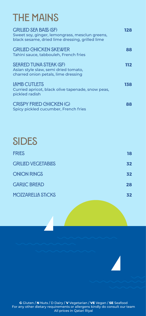## **The mains**

| <b>GRILLED SEA BASS (SF)</b><br>Sweet soy, ginger, lemongrass, mesclun greens,<br>black sesame, dried lime dressing, grilled lime | 128 |
|-----------------------------------------------------------------------------------------------------------------------------------|-----|
| <b>GRILLED GHICKEN SKEWER</b><br>Tahini sauce, tabbouleh, French fries                                                            | 88  |
| <b>SEARED TUNA STEAK (SF)</b><br>Asian style slaw, semi dried tomato,<br>charred onion petals, lime dressing                      | 112 |
| LAMB CUTLETS<br>Curried apricot, black olive tapenade, snow peas,<br>pickled radish                                               |     |
| <b>CRISPY FRIED CHICKEN (G)</b><br>Spicy pickled cucumber, French fries                                                           | 88  |

| SIDES                     |    |
|---------------------------|----|
| <b>FRIES</b>              | 18 |
| <b>GRILIED VEGETABIES</b> | 32 |
| <b>ONION RINGS</b>        | 32 |
| <b>GARLIC BREAD</b>       | 28 |
| MOZZARELLA STICKS         | 32 |
|                           |    |
|                           |    |





**G** Gluten / **N** Nuts / D Dairy / **V** Vegetarian / **VE** Vegan / **SE** Seafood For any other dietary requirements or allergens kindly do consult our team All prices in Qatari Riyal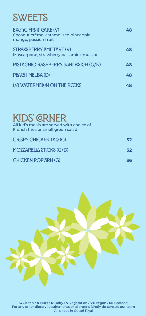### **Kids' Corner** All kid's meals are served with choice of French fries or small green salad

### **Crispy chicken taco (G) 32 Mozzarella sticks (G/D) 32 Chicken popcorn (G) 36**



## **sweets**

| <b>EXOTIC FRUIT GAKE (V)</b><br>Coconut crème, caramelized pineapple,<br>mango, passion fruit | 48 |
|-----------------------------------------------------------------------------------------------|----|
| STRAWBERRY LIME TART (V)<br>Mascarpone, strawberry balsamic emulsion                          | 48 |
| PISTACHIO RASPBERRY SANDWICH (G/N)                                                            | 48 |
| PEACH MELBA (D)                                                                               | 48 |
| 1/8 WATERMELON ON THE ROCKS                                                                   | 48 |

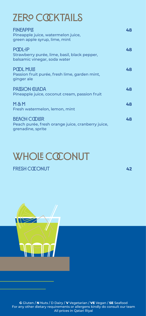## **ZERO COCKTAILS**

**Fineapple 48** Pineapple juice, watermelon juice, green apple syrup, lime, mint

**Pool-ip 48** Strawberry purée, lime, basil, black pepper, balsamic vinegar, soda water

**Pool mule 48** Passion fruit purée, fresh lime, garden mint, ginger ale

**Passion colada 48** Pineapple juice, coconut cream, passion fruit

#### **M & M 48** Fresh watermelon, lemon, mint

**Beach cooler 48** Peach purée, fresh orange juice, cranberry juice, grenadine, sprite

# **WHOLE COCONUT**

### **fRESH COCONUT 42**





**G** Gluten / **N** Nuts / D Dairy / **V** Vegetarian / **VE** Vegan / **SE** Seafood For any other dietary requirements or allergens kindly do consult our team All prices in Qatari Riyal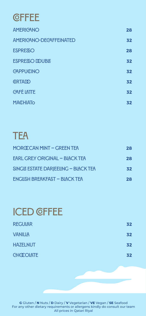## **TEA Moroccan mint – green tea 28 Earl grey original – black tea 28 Single estate darjeeling – black tea 32 English breakfast – black tea 28**

# **ICED CFFEE**

**Regular 32**



**Hazelnut 32**

#### **Chocolate 32**



### **CFFEE**

| AMERICANO               | 28 |
|-------------------------|----|
| AMERICANO-DECAFFEINATED | 32 |
| <b>ESPRESSO</b>         | 28 |
| <b>ESPRESSO DOUBLE</b>  | 32 |
| CAPPUCINO               | 32 |
| CRTADO                  | 32 |
| <b>GAFÉ LATTE</b>       | 32 |
| <b>MACHIATO</b>         | 32 |